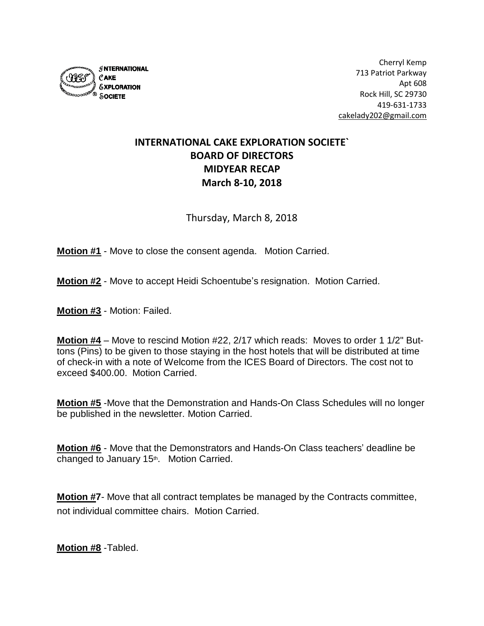

## **INTERNATIONAL CAKE EXPLORATION SOCIETE` BOARD OF DIRECTORS MIDYEAR RECAP March 8-10, 2018**

Thursday, March 8, 2018

**Motion #1** - Move to close the consent agenda. Motion Carried.

**Motion #2** - Move to accept Heidi Schoentube's resignation. Motion Carried.

**Motion #3** - Motion: Failed.

**Motion #4** – Move to rescind Motion #22, 2/17 which reads: Moves to order 1 1/2" Buttons (Pins) to be given to those staying in the host hotels that will be distributed at time of check-in with a note of Welcome from the ICES Board of Directors. The cost not to exceed \$400.00. Motion Carried.

**Motion #5** -Move that the Demonstration and Hands-On Class Schedules will no longer be published in the newsletter. Motion Carried.

**Motion #6** - Move that the Demonstrators and Hands-On Class teachers' deadline be changed to January 15<sup>th</sup>. Motion Carried.

**Motion #7**- Move that all contract templates be managed by the Contracts committee, not individual committee chairs. Motion Carried.

**Motion #8** -Tabled.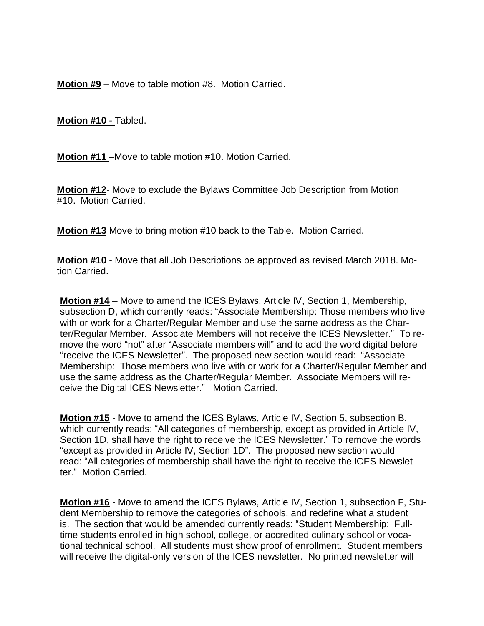**Motion #9** – Move to table motion #8. Motion Carried.

**Motion #10 -** Tabled.

**Motion #11** –Move to table motion #10. Motion Carried.

**Motion #12**- Move to exclude the Bylaws Committee Job Description from Motion #10. Motion Carried.

**Motion #13** Move to bring motion #10 back to the Table. Motion Carried.

**Motion #10** - Move that all Job Descriptions be approved as revised March 2018. Motion Carried.

**Motion #14** – Move to amend the ICES Bylaws, Article IV, Section 1, Membership, subsection D, which currently reads: "Associate Membership: Those members who live with or work for a Charter/Regular Member and use the same address as the Charter/Regular Member. Associate Members will not receive the ICES Newsletter." To remove the word "not" after "Associate members will" and to add the word digital before "receive the ICES Newsletter". The proposed new section would read: "Associate Membership: Those members who live with or work for a Charter/Regular Member and use the same address as the Charter/Regular Member. Associate Members will receive the Digital ICES Newsletter." Motion Carried.

**Motion #15** - Move to amend the ICES Bylaws, Article IV, Section 5, subsection B, which currently reads: "All categories of membership, except as provided in Article IV, Section 1D, shall have the right to receive the ICES Newsletter." To remove the words "except as provided in Article IV, Section 1D". The proposed new section would read: "All categories of membership shall have the right to receive the ICES Newsletter." Motion Carried.

**Motion #16** - Move to amend the ICES Bylaws, Article IV, Section 1, subsection F, Student Membership to remove the categories of schools, and redefine what a student is. The section that would be amended currently reads: "Student Membership: Fulltime students enrolled in high school, college, or accredited culinary school or vocational technical school. All students must show proof of enrollment. Student members will receive the digital-only version of the ICES newsletter. No printed newsletter will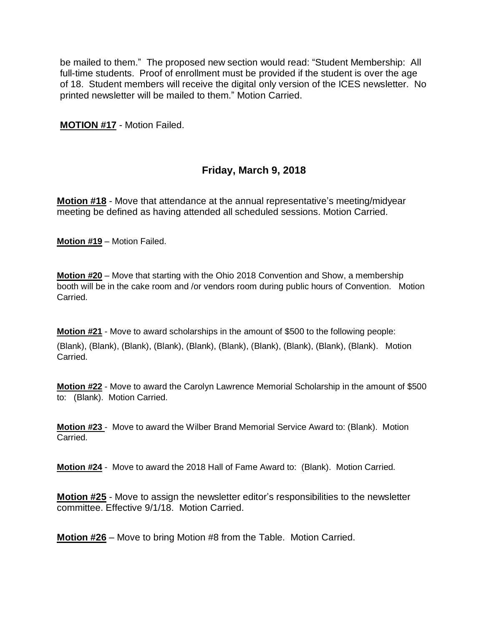be mailed to them." The proposed new section would read: "Student Membership: All full-time students. Proof of enrollment must be provided if the student is over the age of 18. Student members will receive the digital only version of the ICES newsletter. No printed newsletter will be mailed to them." Motion Carried.

**MOTION #17** - Motion Failed.

## **Friday, March 9, 2018**

**Motion #18** - Move that attendance at the annual representative's meeting/midyear meeting be defined as having attended all scheduled sessions. Motion Carried.

**Motion #19** – Motion Failed.

**Motion #20** – Move that starting with the Ohio 2018 Convention and Show, a membership booth will be in the cake room and /or vendors room during public hours of Convention. Motion Carried.

**Motion #21** - Move to award scholarships in the amount of \$500 to the following people: (Blank), (Blank), (Blank), (Blank), (Blank), (Blank), (Blank), (Blank), (Blank), (Blank). Motion Carried.

**Motion #22** - Move to award the Carolyn Lawrence Memorial Scholarship in the amount of \$500 to: (Blank). Motion Carried.

**Motion #23** - Move to award the Wilber Brand Memorial Service Award to: (Blank). Motion Carried.

**Motion #24** - Move to award the 2018 Hall of Fame Award to: (Blank). Motion Carried.

**Motion #25** - Move to assign the newsletter editor's responsibilities to the newsletter committee. Effective 9/1/18. Motion Carried.

**Motion #26** – Move to bring Motion #8 from the Table. Motion Carried.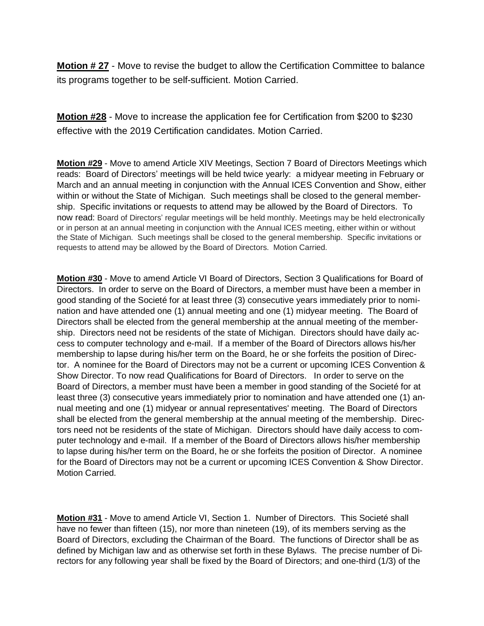**Motion # 27** - Move to revise the budget to allow the Certification Committee to balance its programs together to be self-sufficient. Motion Carried.

**Motion #28** - Move to increase the application fee for Certification from \$200 to \$230 effective with the 2019 Certification candidates. Motion Carried.

**Motion #29** - Move to amend Article XIV Meetings, Section 7 Board of Directors Meetings which reads: Board of Directors' meetings will be held twice yearly: a midyear meeting in February or March and an annual meeting in conjunction with the Annual ICES Convention and Show, either within or without the State of Michigan. Such meetings shall be closed to the general membership. Specific invitations or requests to attend may be allowed by the Board of Directors. To now read: Board of Directors' regular meetings will be held monthly. Meetings may be held electronically or in person at an annual meeting in conjunction with the Annual ICES meeting, either within or without the State of Michigan. Such meetings shall be closed to the general membership. Specific invitations or requests to attend may be allowed by the Board of Directors. Motion Carried.

**Motion #30** - Move to amend Article VI Board of Directors, Section 3 Qualifications for Board of Directors. In order to serve on the Board of Directors, a member must have been a member in good standing of the Societé for at least three (3) consecutive years immediately prior to nomination and have attended one (1) annual meeting and one (1) midyear meeting. The Board of Directors shall be elected from the general membership at the annual meeting of the membership. Directors need not be residents of the state of Michigan. Directors should have daily access to computer technology and e-mail. If a member of the Board of Directors allows his/her membership to lapse during his/her term on the Board, he or she forfeits the position of Director. A nominee for the Board of Directors may not be a current or upcoming ICES Convention & Show Director. To now read Qualifications for Board of Directors. In order to serve on the Board of Directors, a member must have been a member in good standing of the Societé for at least three (3) consecutive years immediately prior to nomination and have attended one (1) annual meeting and one (1) midyear or annual representatives' meeting. The Board of Directors shall be elected from the general membership at the annual meeting of the membership. Directors need not be residents of the state of Michigan. Directors should have daily access to computer technology and e-mail. If a member of the Board of Directors allows his/her membership to lapse during his/her term on the Board, he or she forfeits the position of Director. A nominee for the Board of Directors may not be a current or upcoming ICES Convention & Show Director. Motion Carried.

**Motion #31** - Move to amend Article VI, Section 1. Number of Directors. This Societé shall have no fewer than fifteen (15), nor more than nineteen (19), of its members serving as the Board of Directors, excluding the Chairman of the Board. The functions of Director shall be as defined by Michigan law and as otherwise set forth in these Bylaws. The precise number of Directors for any following year shall be fixed by the Board of Directors; and one-third (1/3) of the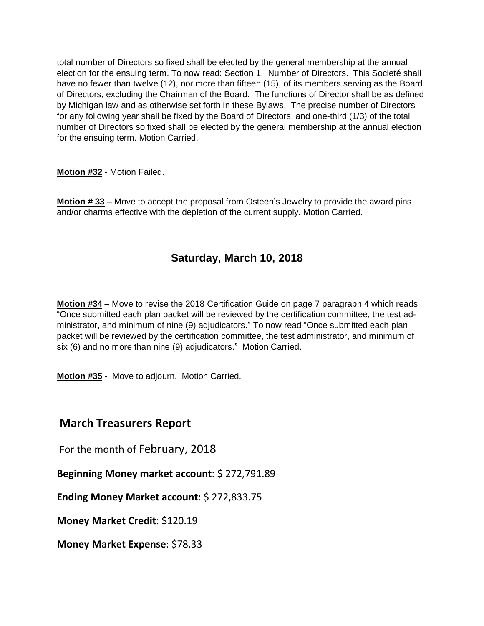total number of Directors so fixed shall be elected by the general membership at the annual election for the ensuing term. To now read: Section 1. Number of Directors. This Societé shall have no fewer than twelve (12), nor more than fifteen (15), of its members serving as the Board of Directors, excluding the Chairman of the Board. The functions of Director shall be as defined by Michigan law and as otherwise set forth in these Bylaws. The precise number of Directors for any following year shall be fixed by the Board of Directors; and one-third (1/3) of the total number of Directors so fixed shall be elected by the general membership at the annual election for the ensuing term. Motion Carried.

**Motion #32** - Motion Failed.

**Motion # 33** – Move to accept the proposal from Osteen's Jewelry to provide the award pins and/or charms effective with the depletion of the current supply. Motion Carried.

## **Saturday, March 10, 2018**

**Motion #34** – Move to revise the 2018 Certification Guide on page 7 paragraph 4 which reads "Once submitted each plan packet will be reviewed by the certification committee, the test administrator, and minimum of nine (9) adjudicators." To now read "Once submitted each plan packet will be reviewed by the certification committee, the test administrator, and minimum of six (6) and no more than nine (9) adjudicators." Motion Carried.

**Motion #35** - Move to adjourn. Motion Carried.

## **March Treasurers Report**

For the month of February, 2018

**Beginning Money market account**: \$ 272,791.89

**Ending Money Market account**: \$ 272,833.75

**Money Market Credit**: \$120.19

**Money Market Expense**: \$78.33